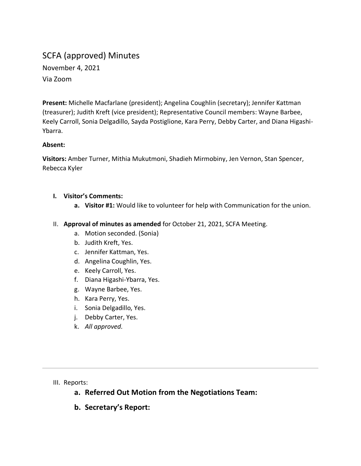# SCFA (approved) Minutes

November 4, 2021 Via Zoom

**Present:** Michelle Macfarlane (president); Angelina Coughlin (secretary); Jennifer Kattman (treasurer); Judith Kreft (vice president); Representative Council members: Wayne Barbee, Keely Carroll, Sonia Delgadillo, Sayda Postiglione, Kara Perry, Debby Carter, and Diana Higashi-Ybarra.

#### **Absent:**

**Visitors:** Amber Turner, Mithia Mukutmoni, Shadieh Mirmobiny, Jen Vernon, Stan Spencer, Rebecca Kyler

- **I. Visitor's Comments:**
	- **a. Visitor #1:** Would like to volunteer for help with Communication for the union.
- II. **Approval of minutes as amended** for October 21, 2021, SCFA Meeting.
	- a. Motion seconded. (Sonia)
	- b. Judith Kreft, Yes.
	- c. Jennifer Kattman, Yes.
	- d. Angelina Coughlin, Yes.
	- e. Keely Carroll, Yes.
	- f. Diana Higashi-Ybarra, Yes.
	- g. Wayne Barbee, Yes.
	- h. Kara Perry, Yes.
	- i. Sonia Delgadillo, Yes.
	- j. Debby Carter, Yes.
	- k. *All approved.*

#### III. Reports:

- **a. Referred Out Motion from the Negotiations Team:**
- **b. Secretary's Report:**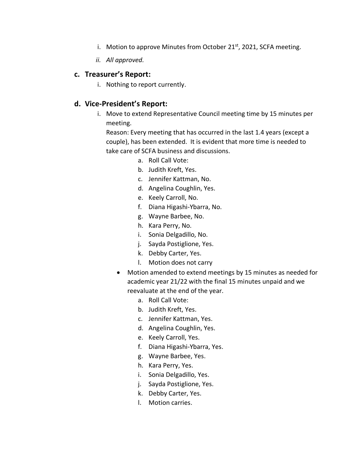- i. Motion to approve Minutes from October 21 $st$ , 2021, SCFA meeting.
- *ii. All approved.*

## **c. Treasurer's Report:**

i. Nothing to report currently.

# **d. Vice-President's Report:**

i. Move to extend Representative Council meeting time by 15 minutes per meeting.

Reason: Every meeting that has occurred in the last 1.4 years (except a couple), has been extended. It is evident that more time is needed to take care of SCFA business and discussions.

- a. Roll Call Vote:
- b. Judith Kreft, Yes.
- c. Jennifer Kattman, No.
- d. Angelina Coughlin, Yes.
- e. Keely Carroll, No.
- f. Diana Higashi-Ybarra, No.
- g. Wayne Barbee, No.
- h. Kara Perry, No.
- i. Sonia Delgadillo, No.
- j. Sayda Postiglione, Yes.
- k. Debby Carter, Yes.
- l. Motion does not carry
- Motion amended to extend meetings by 15 minutes as needed for academic year 21/22 with the final 15 minutes unpaid and we reevaluate at the end of the year.
	- a. Roll Call Vote:
	- b. Judith Kreft, Yes.
	- c. Jennifer Kattman, Yes.
	- d. Angelina Coughlin, Yes.
	- e. Keely Carroll, Yes.
	- f. Diana Higashi-Ybarra, Yes.
	- g. Wayne Barbee, Yes.
	- h. Kara Perry, Yes.
	- i. Sonia Delgadillo, Yes.
	- j. Sayda Postiglione, Yes.
	- k. Debby Carter, Yes.
	- l. Motion carries.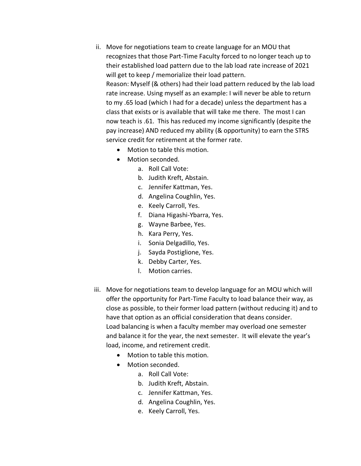- ii. Move for negotiations team to create language for an MOU that recognizes that those Part-Time Faculty forced to no longer teach up to their established load pattern due to the lab load rate increase of 2021 will get to keep / memorialize their load pattern. Reason: Myself (& others) had their load pattern reduced by the lab load rate increase. Using myself as an example: I will never be able to return to my .65 load (which I had for a decade) unless the department has a class that exists or is available that will take me there. The most I can now teach is .61. This has reduced my income significantly (despite the pay increase) AND reduced my ability (& opportunity) to earn the STRS service credit for retirement at the former rate.
	- Motion to table this motion.
	- Motion seconded.
		- a. Roll Call Vote:
		- b. Judith Kreft, Abstain.
		- c. Jennifer Kattman, Yes.
		- d. Angelina Coughlin, Yes.
		- e. Keely Carroll, Yes.
		- f. Diana Higashi-Ybarra, Yes.
		- g. Wayne Barbee, Yes.
		- h. Kara Perry, Yes.
		- i. Sonia Delgadillo, Yes.
		- j. Sayda Postiglione, Yes.
		- k. Debby Carter, Yes.
		- l. Motion carries.
- iii. Move for negotiations team to develop language for an MOU which will offer the opportunity for Part-Time Faculty to load balance their way, as close as possible, to their former load pattern (without reducing it) and to have that option as an official consideration that deans consider. Load balancing is when a faculty member may overload one semester and balance it for the year, the next semester. It will elevate the year's load, income, and retirement credit.
	- Motion to table this motion.
	- Motion seconded.
		- a. Roll Call Vote:
		- b. Judith Kreft, Abstain.
		- c. Jennifer Kattman, Yes.
		- d. Angelina Coughlin, Yes.
		- e. Keely Carroll, Yes.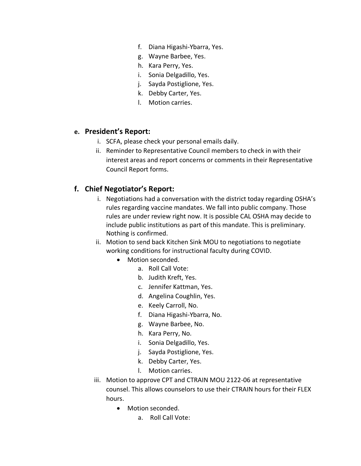- f. Diana Higashi-Ybarra, Yes.
- g. Wayne Barbee, Yes.
- h. Kara Perry, Yes.
- i. Sonia Delgadillo, Yes.
- j. Sayda Postiglione, Yes.
- k. Debby Carter, Yes.
- l. Motion carries.

## **e. President's Report:**

- i. SCFA, please check your personal emails daily.
- ii. Reminder to Representative Council members to check in with their interest areas and report concerns or comments in their Representative Council Report forms.

# **f. Chief Negotiator's Report:**

- i. Negotiations had a conversation with the district today regarding OSHA's rules regarding vaccine mandates. We fall into public company. Those rules are under review right now. It is possible CAL OSHA may decide to include public institutions as part of this mandate. This is preliminary. Nothing is confirmed.
- ii. Motion to send back Kitchen Sink MOU to negotiations to negotiate working conditions for instructional faculty during COVID.
	- Motion seconded.
		- a. Roll Call Vote:
		- b. Judith Kreft, Yes.
		- c. Jennifer Kattman, Yes.
		- d. Angelina Coughlin, Yes.
		- e. Keely Carroll, No.
		- f. Diana Higashi-Ybarra, No.
		- g. Wayne Barbee, No.
		- h. Kara Perry, No.
		- i. Sonia Delgadillo, Yes.
		- j. Sayda Postiglione, Yes.
		- k. Debby Carter, Yes.
		- l. Motion carries.
- iii. Motion to approve CPT and CTRAIN MOU 2122-06 at representative counsel. This allows counselors to use their CTRAIN hours for their FLEX hours.
	- Motion seconded.
		- a. Roll Call Vote: